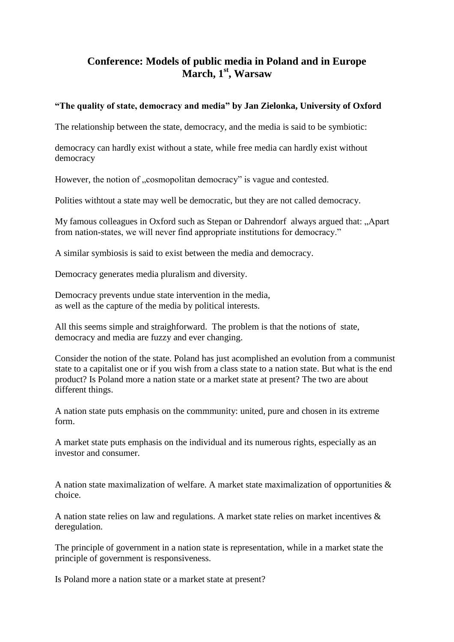## **Conference: Models of public media in Poland and in Europe March, 1st, Warsaw**

## **"The quality of state, democracy and media" by Jan Zielonka, University of Oxford**

The relationship between the state, democracy, and the media is said to be symbiotic:

democracy can hardly exist without a state, while free media can hardly exist without democracy

However, the notion of ...cosmopolitan democracy" is vague and contested.

Polities withtout a state may well be democratic, but they are not called democracy.

My famous colleagues in Oxford such as Stepan or Dahrendorf always argued that: "Apart from nation-states, we will never find appropriate institutions for democracy."

A similar symbiosis is said to exist between the media and democracy.

Democracy generates media pluralism and diversity.

Democracy prevents undue state intervention in the media, as well as the capture of the media by political interests.

All this seems simple and straighforward. The problem is that the notions of state, democracy and media are fuzzy and ever changing.

Consider the notion of the state. Poland has just acomplished an evolution from a communist state to a capitalist one or if you wish from a class state to a nation state. But what is the end product? Is Poland more a nation state or a market state at present? The two are about different things.

A nation state puts emphasis on the commmunity: united, pure and chosen in its extreme form.

A market state puts emphasis on the individual and its numerous rights, especially as an investor and consumer.

A nation state maximalization of welfare. A market state maximalization of opportunities & choice.

A nation state relies on law and regulations. A market state relies on market incentives & deregulation.

The principle of government in a nation state is representation, while in a market state the principle of government is responsiveness.

Is Poland more a nation state or a market state at present?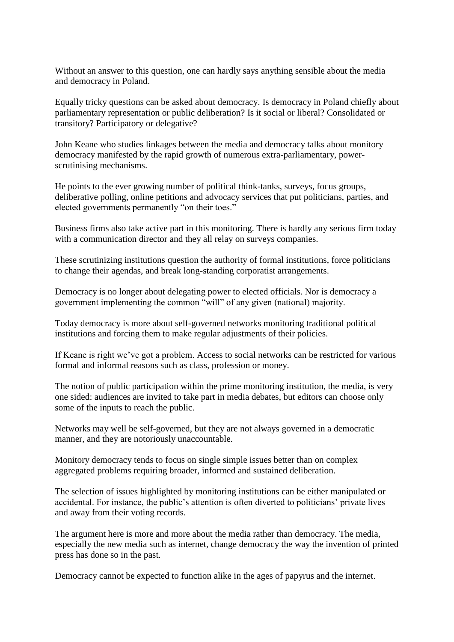Without an answer to this question, one can hardly says anything sensible about the media and democracy in Poland.

Equally tricky questions can be asked about democracy. Is democracy in Poland chiefly about parliamentary representation or public deliberation? Is it social or liberal? Consolidated or transitory? Participatory or delegative?

John Keane who studies linkages between the media and democracy talks about monitory democracy manifested by the rapid growth of numerous extra-parliamentary, powerscrutinising mechanisms.

He points to the ever growing number of political think-tanks, surveys, focus groups, deliberative polling, online petitions and advocacy services that put politicians, parties, and elected governments permanently "on their toes."

Business firms also take active part in this monitoring. There is hardly any serious firm today with a communication director and they all relay on surveys companies.

These scrutinizing institutions question the authority of formal institutions, force politicians to change their agendas, and break long-standing corporatist arrangements.

Democracy is no longer about delegating power to elected officials. Nor is democracy a government implementing the common "will" of any given (national) majority.

Today democracy is more about self-governed networks monitoring traditional political institutions and forcing them to make regular adjustments of their policies.

If Keane is right we've got a problem. Access to social networks can be restricted for various formal and informal reasons such as class, profession or money.

The notion of public participation within the prime monitoring institution, the media, is very one sided: audiences are invited to take part in media debates, but editors can choose only some of the inputs to reach the public.

Networks may well be self-governed, but they are not always governed in a democratic manner, and they are notoriously unaccountable.

Monitory democracy tends to focus on single simple issues better than on complex aggregated problems requiring broader, informed and sustained deliberation.

The selection of issues highlighted by monitoring institutions can be either manipulated or accidental. For instance, the public's attention is often diverted to politicians' private lives and away from their voting records.

The argument here is more and more about the media rather than democracy. The media, especially the new media such as internet, change democracy the way the invention of printed press has done so in the past.

Democracy cannot be expected to function alike in the ages of papyrus and the internet.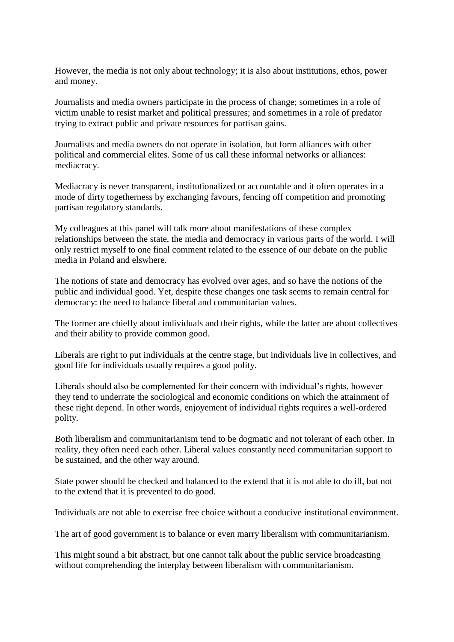However, the media is not only about technology; it is also about institutions, ethos, power and money.

Journalists and media owners participate in the process of change; sometimes in a role of victim unable to resist market and political pressures; and sometimes in a role of predator trying to extract public and private resources for partisan gains.

Journalists and media owners do not operate in isolation, but form alliances with other political and commercial elites. Some of us call these informal networks or alliances: mediacracy.

Mediacracy is never transparent, institutionalized or accountable and it often operates in a mode of dirty togetherness by exchanging favours, fencing off competition and promoting partisan regulatory standards.

My colleagues at this panel will talk more about manifestations of these complex relationships between the state, the media and democracy in various parts of the world. I will only restrict myself to one final comment related to the essence of our debate on the public media in Poland and elswhere.

The notions of state and democracy has evolved over ages, and so have the notions of the public and individual good. Yet, despite these changes one task seems to remain central for democracy: the need to balance liberal and communitarian values.

The former are chiefly about individuals and their rights, while the latter are about collectives and their ability to provide common good.

Liberals are right to put individuals at the centre stage, but individuals live in collectives, and good life for individuals usually requires a good polity.

Liberals should also be complemented for their concern with individual's rights, however they tend to underrate the sociological and economic conditions on which the attainment of these right depend. In other words, enjoyement of individual rights requires a well-ordered polity.

Both liberalism and communitarianism tend to be dogmatic and not tolerant of each other. In reality, they often need each other. Liberal values constantly need communitarian support to be sustained, and the other way around.

State power should be checked and balanced to the extend that it is not able to do ill, but not to the extend that it is prevented to do good.

Individuals are not able to exercise free choice without a conducive institutional environment.

The art of good government is to balance or even marry liberalism with communitarianism.

This might sound a bit abstract, but one cannot talk about the public service broadcasting without comprehending the interplay between liberalism with communitarianism.